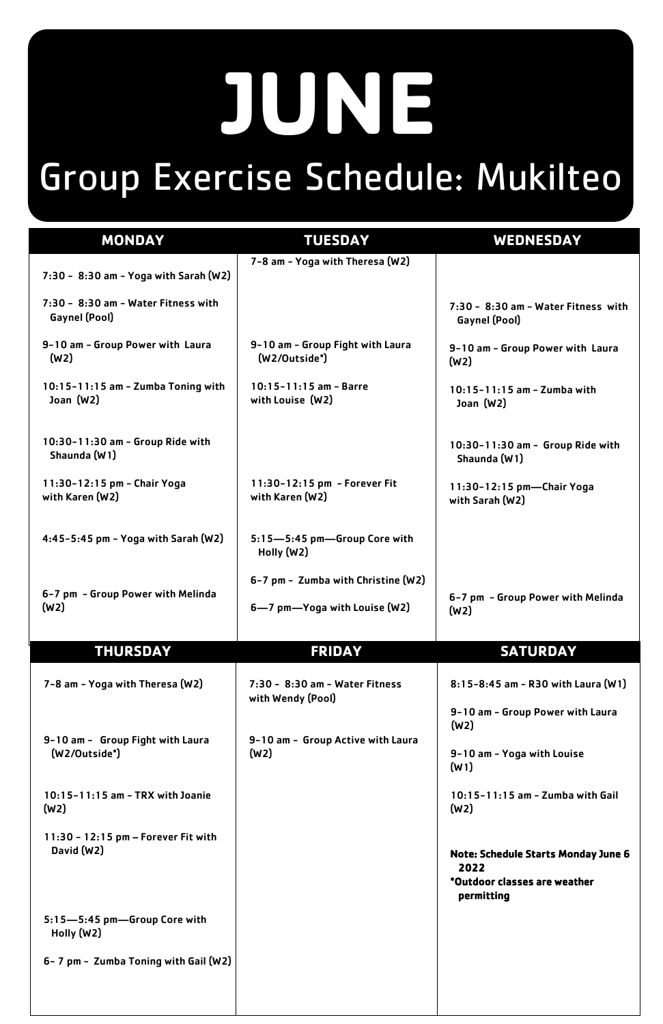## **JUNE** Group Exercise Schedule: Mukilteo

| <b>MONDAY</b>                                          | <b>TUESDAY</b>                                        | <b>WEDNESDAY</b>                                                                                 |
|--------------------------------------------------------|-------------------------------------------------------|--------------------------------------------------------------------------------------------------|
|                                                        | 7-8 am - Yoga with Theresa (W2)                       |                                                                                                  |
| 7:30 - 8:30 am - Yoga with Sarah (W2)                  |                                                       |                                                                                                  |
| 7:30 - 8:30 am - Water Fitness with<br>Gaynel (Pool)   |                                                       | 7:30 - 8:30 am - Water Fitness with<br>Gaynel (Pool)                                             |
| 9-10 am - Group Power with Laura<br>(W <sub>2</sub> )  | 9-10 am - Group Fight with Laura<br>(W2/Outside*)     | 9-10 am - Group Power with Laura<br>(W <sub>2</sub> )                                            |
| 10:15-11:15 am - Zumba Toning with<br>Joan $(W2)$      | $10:15 - 11:15$ am - Barre<br>with Louise (W2)        | $10:15 - 11:15$ am - Zumba with<br>Joan $(W2)$                                                   |
| 10:30-11:30 am - Group Ride with<br>Shaunda (W1)       |                                                       | 10:30-11:30 am - Group Ride with<br>Shaunda (W1)                                                 |
| 11:30-12:15 pm - Chair Yoga<br>with Karen (W2)         | 11:30-12:15 pm - Forever Fit<br>with Karen (W2)       | 11:30-12:15 pm-Chair Yoga<br>with Sarah (W2)                                                     |
| 4:45-5:45 pm - Yoga with Sarah $(W2)$                  | 5:15-5:45 pm-Group Core with<br>Holly (W2)            |                                                                                                  |
| 6-7 pm - Group Power with Melinda<br>(W <sub>2</sub> ) | 6-7 pm - Zumba with Christine (W2)                    | 6-7 pm - Group Power with Melinda                                                                |
|                                                        | 6-7 pm-Yoga with Louise (W2)                          | (W <sub>2</sub> )                                                                                |
| <b>THURSDAY</b>                                        | <b>FRIDAY</b>                                         | <b>SATURDAY</b>                                                                                  |
| 7-8 am - Yoga with Theresa (W2)                        | $7:30 - 8:30$ am - Water Fitness<br>with Wendy (Pool) | $8:15 - 8:45$ am - R30 with Laura (W1)                                                           |
|                                                        |                                                       | 9-10 am - Group Power with Laura<br>(W <sub>2</sub> )                                            |
| 9-10 am - Group Fight with Laura<br>$(W2/Outside^*)$   | 9-10 am - Group Active with Laura<br>(W2)             | 9-10 am - Yoga with Louise<br>(W1)                                                               |
| 10:15-11:15 am - TRX with Joanie<br>(W2)               |                                                       | 10:15-11:15 am - Zumba with Gail<br>(W <sub>2</sub> )                                            |
|                                                        |                                                       |                                                                                                  |
| $11:30 - 12:15$ pm - Forever Fit with<br>David (W2)    |                                                       |                                                                                                  |
|                                                        |                                                       | <b>Note: Schedule Starts Monday June 6</b><br>2022<br>*Outdoor classes are weather<br>permitting |
| 5:15-5:45 pm-Group Core with<br>Holly (W2)             |                                                       |                                                                                                  |
| 6 - 7 pm - Zumba Toning with Gail (W2)                 |                                                       |                                                                                                  |